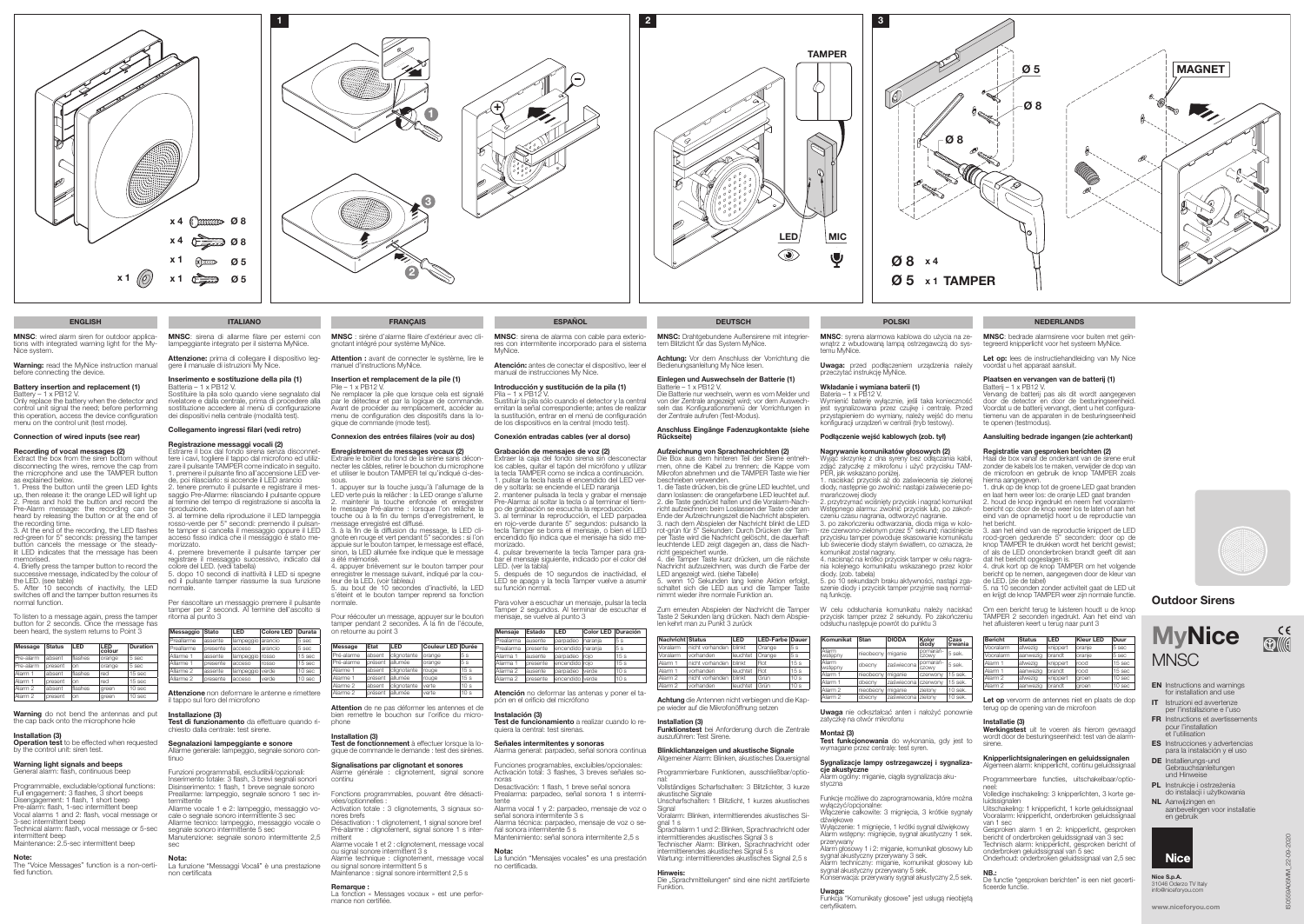- EN Instructions and warnings for installation and use
- IT Istruzioni ed avvertenze per l'installazione e l'uso
- FR Instructions et avertissements pour l'installation et l'utilisation
- ES Instrucciones y advertencias para la instalación y el uso
- DE Installierungs-und Gebrauchsanleitungen und Hinweise
- PL Instrukcje i ostrzeżenia do instalacji i użytkowania
- NL Aanwijzingen en aanbevelingen voor installatie en gebruik



Warning: read the MyNice instruction manual before connecting the device.





Extract the box from the siren bottom without disconnecting the wires, remove the cap from the microphone and use the TAMPER button as explained below.

## Battery insertion and replacement (1)

Battery – 1 x PB12 V. Only replace the battery when the detector and control unit signal the need; before performing this operation, access the device configuration menu on the control unit (test mode).

## Connection of wired inputs (see rear)

## Recording of vocal messages (2)

Warning do not bend the antennas and put the cap back onto the microphone hole

**Installation (3)**<br>**Operation test** to be effected when requested by the control unit: siren test.

1. Press the button until the green LED lights up, then release it: the orange LED will light up 2. Press and hold the button and record the Pre-Alarm message: the recording can be heard by releasing the button or at the end of

the recording time. 3. At the end of the recording, the LED flashes red-green for 5" seconds: pressing the tamper button cancels the message or the steadylit LED indicates that the message has been

memorised. 4. Briefly press the tamper button to record the successive message, indicated by the colour of the LED. (see table)

5. After 10 seconds of inactivity, the LED switches off and the tamper button resumes its normal function.

To listen to a message again, press the tamper button for 2 seconds. Once the message has been heard, the system returns to Point 3

| Message            | <b>Status</b> | I FD    | LED<br>colour | <b>Duration</b> |
|--------------------|---------------|---------|---------------|-----------------|
| Pre-alarm          | absent        | flashes | orange        | 5 sec           |
| Pre-alarm          | present       | on      | orange        | 5 sec           |
| Alarm 1            | absent        | flashes | red           | 15 sec          |
| Alarm 1            | present       | on      | red           | 15 sec          |
| Alarm <sub>2</sub> | absent        | flashes | green         | 10 sec          |
| Alarm <sub>2</sub> | present       | on      | green         | 10 sec          |

#### Warning light signals and beeps General alarm: flash, continuous beep

Programmable, excludable/optional functions: Full engagement: 3 flashes, 3 short beeps Disengagement: 1 flash, 1 short beep Pre-alarm: flash, 1-sec intermittent beep Vocal alarms 1 and 2: flash, vocal message or 3-sec intermittent beep Technical alarm: flash, vocal message or 5-sec

nutenzione: segnale sonoro intermittente 2,5 sec

**Nota:**<br>La funzione "Messaggi Vocali" è una prestazione non certificata

intermittent beep Maintenance: 2.5-sec intermittent beep

**Note:**<br>The "Voice Messages" function is a non-certi-<br>fied function.

Attention : avant de connecter le système, lire le manuel d'instructions MyNice.

MNSC: sirena di allarme filare per esterni con lampeggiante integrato per il sistema MyNice.

Attenzione: prima di collegare il dispositivo leg-<br>gere il manuale di istruzioni My Nice.

#### Inserimento e sostituzione della pila (1) Batteria – 1 x PB12 V.

Sostituire la pila solo quando viene segnalato dal rivelatore e dalla centrale, prima di procedere alla sostituzione accedere al menù di configurazione dei dispositivi nella centrale (modalità test).

## Collegamento ingressi filari (vedi retro)

#### Registrazione messaggi vocali (2)

Estrarre il box dal fondo sirena senza disconnet- tere i cavi, togliere il tappo dal microfono ed utiliz- zare il pulsante TAMPER come indicato in seguito.

#### Message État LED Couleur LED Durée Pré-alarme absent clignotante orange 5 s

1. premere il pulsante fino all'accensione LED ver-de, poi rilasciarlo: si accende il LED arancio 2. tenere premuto il pulsante e registrare il messaggio Pre-Allarme: rilasciando il pulsante oppure al termine del tempo di registrazione si ascolta la riproduzione.

> Test de fonctionnement à effectuer lorsque la logique de commande le demande : test des sirènes.

#### Signalisations par clignotant et sonores Alarme générale : clignotement, signal sonore continu

3. al termine della riproduzione il LED lampeggia rosso-verde per 5" secondi: premendo il pulsan-te tamper si cancella il messaggio oppure il LED acceso fisso indica che il messaggio è stato memorizzato.

4. premere brevemente il pulsante tamper per registrare il messaggio successivo, indicato dal colore del LED. (vedi tabella)

5. dopo 10 secondi di inattività il LED si spegne ed il pulsante tamper riassume la sua funzione normale.

Per riascoltare un messaggio premere il pulsante tamper per 2 secondi. Al termine dell'ascolto si ritorna al punto 3

| Messaggio  | <b>Stato</b> | LED       | <b>Colore LED</b> | <b>Durata</b> |
|------------|--------------|-----------|-------------------|---------------|
| Preallarme | assente      | lampeggio | arancio           | 5 sec         |
| Preallarme | presente     | acceso    | arancio           | 5 sec         |
| Allarme 1  | assente      | lampeggio | rosso             | 15 sec        |
| Allarme 1  | presente     | acceso    | rosso             | 15 sec        |
| Allarme 2  | assente      | lampeggio | verde             | 10 sec        |
| Allarme 2  | presente     | acceso    | verde             | 10 sec        |
|            |              |           |                   |               |

el mensaje siguiente, indicado por el color del LED. (ver la tabla) 5. después de 10 segundos de inactividad, el

il tappo sul foro del microfono

Installazione (3)<br>Test di funzionamento da effettuare quando ri-Test di runcionamento da effettuare richiesto dalla centrale: test sirene.

Attenzione non deformare le antenne e rimettere

#### Segnalazioni lampeggiante e sonore

Allarme generale: lampeggio, segnale sonoro con- tinuo

Funzioni programmabili, escludibili/opzionali: Inserimento totale: 3 flash, 3 brevi segnali sonori Disinserimento: 1 flash, 1 breve segnale sonoro Preallarme: lampeggio, segnale sonoro 1 sec intermittente

Allarme vocale 1 e 2: lampeggio, messaggio vo-cale o segnale sonoro intermittente 3 sec Allarme tecnico: lampeggio, messaggio vocale o segnale sonoro intermittente 5 sec

#### Achtung: Vor dem Anschluss der Vorrichtung die Bedienungsanleitung My Nice lesen.

Batterie – 1 x PB12 V. Die Batterie nur wechseln, wenn es vom Melder und von der Zentrale angezeigt wird; vor dem Auswech seln das Konfigurationsmenü der Vorrichtungen in der Zentrale aufrufen (Test-Modus).

MNSC : sirène d'alarme filaire d'extérieur avec cli gnotant intégré pour système MyNice.

#### Insertion et remplacement de la pile (1)

**Aufzeichnung von Sprachnachrichten (2)**<br>Die Box aus dem hinteren Teil der Sirene entneh-<br>men, ohne die Kabel zu trennen; die Kappe vom Mikrofon abnehmen und die TAMPER Taste wie hier beschrieben verwenden. 1. die Taste drücken, bis die grüne LED leuchtet, und

Pile – 1 x PB12 V. Ne remplacer la pile que lorsque cela est signalé par le détecteur et par la logique de commande. Avant de procéder au remplacement, accéder au menu de configuration des dispositifs dans la lo gique de commande (mode test).

#### Connexion des entrées filaires (voir au dos)

Tamper Taste kurz drücken, um die nächste Nachricht aufzuzeichnen, was durch die Farbe der

Enregistrement de messages vocaux (2) Extraire le boîtier du fond de la sirène sans déconnecter les câbles, retirer le bouchon du microphone et utiliser le bouton TAMPER tel qu'indiqué ci-des-

sous. 1. appuyer sur la touche jusqu'à l'allumage de la LED verte puis la relâcher : la LED orange s'allume 2. maintenir la touche enfoncée et enregistrer le message Pré-alarme : lorsque l'on relâche la

> Alarm 2 vorhanden | leuchtet Grün | 10 s Achtung die Antennen nicht verbiegen und die Kap pe wieder auf die Mikrofonöffnung setzen

touche ou à la fin du temps d'enregistrement, le message enregistré est diffusé. 3. à la fin de la diffusion du message, la LED cli-

> intermittierendes akustisches Signal 5 s Wartung: intermittierendes akustisches Signal 2,5 s

gnote en rouge et vert pendant 5" secondes : si l'on appuie sur le bouton tamper, le message est effacé, sinon, la LED allumée fixe indique que le message a été mémorisé. 4. appuyer brièvement sur le bouton tamper pour Uwaga: przed podłączeniem urządzenia należy przeczytać instrukcję MyNice.

enregistrer le message suivant, indiqué par la cou- leur de la LED. (voir tableau) 5. au bout de 10 secondes d'inactivité, la LED

Bateria – 1 x PB12 V. Wymienić baterię wyłącznie, jeśli taka konieczność jest sygnalizowana przez czujkę i centralę. Przed przystąpieniem do wymiany, należy wejść do menu konfiguracji urządzeń w centrali (tryb testowy).

s'éteint et le bouton tamper reprend sa fonction normale.

Pour réécouter un message, appuyer sur le bouton tamper pendant 2 secondes. À la fin de l'écoute, on retourne au point 3

| ı Pre-alarme | apsent  | <i><b>I Clianotante</b></i> | Torange | I5 S            |
|--------------|---------|-----------------------------|---------|-----------------|
| Pré-alarme   | présent | allumée                     | orange  | 5s              |
| Alarme 1     | absent  | clignotante                 | rouge   | 15 <sub>s</sub> |
| Alarme 1     | présent | lallumée                    | rouge   | 15 <sub>s</sub> |
| Alarme 2     | absent  | clignotante                 | verte   | 10s             |
| Alarme 2     | présent | allumée                     | verte   | 10 <sub>s</sub> |

Attention de ne pas déformer les antennes et de bien remettre le bouchon sur l'orifice du micro phone

# Installation (3)

Uwaga nie odkształcać anten i nałożyć ponownie zatyczkę na otwór mikrofonu

Fonctions programmables, pouvant être désactivées/optionnelles :

Test funkcjonowania do wykonania, gdy jest to wymagane przez centralę: test syren.

#### Sygnalizacje lampy ostrzegawczej i sygnaliza cje akustyczne

**a anastyczne**<br>arm ogólny: miganie, ciągła sygnalizacia aku-

Activation totale : 3 clignotements, 3 signaux so nores brefs Désactivation : 1 clignotement, 1 signal sonore bref

Pré-alarme : clignotement, signal sonore 1 s inter mittent

Alarme vocale 1 et 2 : clignotement, message vocal ou signal sonore intermittent 3 s Alarme technique : clignotement, message vocal

ou signal sonore intermittent 5 s Maintenance : signal sonore intermittent 2,5 s

#### Remarque :

Let op: lees de instructiehandleiding van My Nice voordat u het apparaat aansluit.

La fonction « Messages vocaux » est une perfor mance non certifiée.

**MNSC**: sirena de alarma con cable para exterio-<br>res con intermitente incorporado para el sistema<br>MyNice.

Atención: antes de conectar el dispositivo, leer el manual de instrucciones My Nice.

# Introducción y sustitución de la pila (1)

Pila – 1 x PB12 V. Sustituir la pila sólo cuando el detector y la central emitan la señal correspondiente; antes de realizar la sustitución, entrar en el menú de configuración de los dispositivos en la central (modo test).

#### Conexión entradas cables (ver al dorso)

Grabación de mensajes de voz (2) Extraer la caja del fondo sirena sin desconectar los cables, quitar el tapón del micrófono y utilizar la tecla TAMPER como se indica a continuación. 1. pulsar la tecla hasta el encendido del LED ver-

> Let op vervorm de antennes niet en plaats de dop terug op de opening van de microfoon

> **Werkingstest** uit te voeren als hierom gevraagd wordt door de besturingseenheid: test van de alarmsirene.

de y soltarla: se enciende el LED naranja 2. mantener pulsada la tecla y grabar el mensaje Pre-Alarma: al soltar la tecla o al terminar el tiempo de grabación se escucha la reproducción. 3. al terminar la reproducción, el LED parpadea en rojo-verde durante 5" segundos: pulsando la

> neel: Volledige inschakeling: 3 knipperlichten, 3 korte geluidssignalen

tecla Tamper se borra el mensaje, o bien el LED encendido fijo indica que el mensaje ha sido memorizado. 4. pulsar brevemente la tecla Tamper para gra-

> **NB.:**<br>De functie "gesproken berichten" is een niet gecertificeerde functie.

Nice S.p.A. 31046 Oderzo TV Italy info@niceforvou.cor

LED se apaga y la tecla Tamper vuelve a asumir su función normal.

Para volver a escuchar un mensaje, pulsar la tecla Tamper 2 segundos. Al terminar de escuchar el mensaje, se vuelve al punto 3

Atención no deformar las antenas y poner el ta- pón en el orificio del micrófono

## Instalación (3)

Test de funcionamiento a realizar cuando lo re-<br>quiera la central: test sirenas.

#### Señales intermitentes y sonoras

Alarma general: parpadeo, señal sonora continua

Funciones programables, excluibles/opcionales: Activación total: 3 flashes, 3 breves señales so- noras

Desactivación: 1 flash, 1 breve señal sonora Prealarma: parpadeo, señal sonora 1 s intermitente

Alarma vocal 1 y 2: parpadeo, mensaje de voz o señal sonora intermitente 3 s Alarma técnica: parpadeo, mensaje de voz o señal sonora intermitente 5 s

Mantenimiento: señal sonora intermitente 2,5 s

## Nota:

La función "Mensajes vocales" es una prestación no certificada.

MNSC: Drahtgebundene Außensirene mit integrier-

tem Blitzlicht für das System MyNice.

Einlegen und Auswechseln der Batterie (1)

|                     |                 |                       |              |                 |                   | len kehrt man zu Punkt 3 zurück |                   |                 |
|---------------------|-----------------|-----------------------|--------------|-----------------|-------------------|---------------------------------|-------------------|-----------------|
| Mensaje             | Estado          | <b>LED</b>            | Color LED    | Duración        |                   |                                 |                   |                 |
| Prealarma           | lausente        | l parpadeo            | Inarania     | 5s              | Nachricht Status  |                                 | LED               | LED-Farbe Dauer |
| Prealarma           | I presente      | l encendido I narania |              | 15 s            | Voralarm          | Inicht vorhanden                | blinkt            | Orange          |
| Alarma 1            | lausente        | l parpadeo Iroio      |              | 15s             | Voralarm          | vorhanden                       | leuchtet          | Orange          |
| Alarma 1            | <b>oresente</b> | encendido I roio      |              | 15s             | Alarm 1           | nicht vorhanden                 | <b>Iblinkt</b>    | Rot             |
| Alarma <sub>2</sub> | lausente        | l parpadeo            | <i>verde</i> | 10 <sub>s</sub> | Alarm 1           | vorhanden                       | leuchtet          | Rot             |
| Alarma <sub>2</sub> | <b>oresente</b> | encendido I verde     |              | 10 <sub>s</sub> | Alarm 2           | nicht vorhanden                 | blinkt            | Grün            |
|                     |                 |                       |              |                 | $A$ leme $\Omega$ | المتمام متمام مناد              | المستوات والمراجع | $\sim$          |

#### Anschluss Eingänge Fadenzugkontakte (siehe Rückseite)

dann loslassen: die orangefarbene LED leuchtet auf. 2. die Taste gedrückt halten und die Voralarm-Nach richt aufzeichnen: beim Loslassen der Taste oder am Ende der Aufzeichnungszeit die Nachricht abspielen. 3. nach dem Abspielen der Nachricht blinkt die LED rot-grün für 5" Sekunden: Durch Drücken der Tam per Taste wird die Nachricht gelöscht, die dauerhaft leuchtende LED zeigt dagegen an, dass die Nach-

richt gespeichert wurde.

LED angezeigt wird. (siehe Tabelle)

5. wenn 10 Sekunden lang keine Aktion erfolgt, schaltet sich die LED aus und die Tamper Taste

nimmt wieder ihre normale Funktion an.

Zum erneuten Abspielen der Nachricht die Tamper Taste 2 Sekunden lang drücken. Nach dem Abspie-

Installation (3)

Funktionstest bei Anforderung durch die Zentrale

rm: Blinken, intermittierendes akustisches Si-

auszuführen: Test Sirene.

Blinklichtanzeigen und akustische Signale Allgemeiner Alarm: Blinken, akustisches Dauersigna Programmierbare Funktionen, ausschließbar/optional: Vollständiges Scharfschalten: 3 Blitzlichter, 3 kurze akustische Signale Unscharfschalten: 1 Blitzlicht, 1 kurzes akustisches

Signal

gnal 1 s

Hinweis

**Funktion** 

Sprachalarm 1 und 2: Blinken, Sprachnachricht oder intermittierendes akustisches Signal 3 s Technischer Alarm: Blinken, Sprachnachricht oder

woldt<br>"Sprachmitteilungen" sind eine nicht zertifizierte

MNSC: syrena alarmowa kablowa do użycia na ze wnątrz z wbudowaną lampą ostrzegawczą do sys-

#### Wkładanie i wymiana baterii (1)

temu MyNice.

## Podłączenie wejść kablowych (zob. tył)

#### Nagrywanie komunikatów głosowych (2)

Wyjąć skrzynkę z dna syreny bez odłączania kabli, zdjąć zatyczkę z mikrofonu i użyć przycisku TAM-

PER, jak wskazano poniżej. 1. naciskać przycisk aż do zaświecenia się zielonej diody, następnie go zwolnić: nastąpi zaświecenie po-

marańczowej diody 2. przytrzymać wciśnięty przycisk i nagrać komunikat Wstępnego alarmu: zwolnić przycisk lub, po zakoń-

czeniu czasu nagrania, odtworzyć nagranie. 3. po zakończeniu odtwarzania, dioda miga w kolorze czerwono-zielonym przez 5" sekund; naciśnięcie przycisku tamper powoduje skasowanie komunikatu lub świecenie diody stałym światłem, co oznacza, że

komunikat został nagrany. 4. nacisnąć na krótko przycisk tamper w celu nagrania kolejnego komunikatu wskazanego przez kolor diody. (zob. tabela)

5. po 10 sekundach braku aktywności, nastąpi zgaszenie diody i przycisk tamper przyjmie swą normal-

ną funkcję.

W celu odsłuchania komunikatu należy naciskać przycisk tamper przez 2 sekundy. Po zakończeniu odsłuchu następuje powrót do punktu 3

| Komunikat               | Stan                | <b>DIODA</b>          | Kolor<br>diody           | Czas<br>trwania |
|-------------------------|---------------------|-----------------------|--------------------------|-----------------|
| <b>Alarm</b><br>wstępny | nieobecny   miganie |                       | pomarań-<br>czowy        | 5 sek.          |
| Alarm<br>wstepny        | obecny              | zaświecona            | pomarań-<br><b>CZOWV</b> | 5 sek.          |
| Alarm 1                 | nieobecny           | miganie               | czerwony                 | 15 sek.         |
| Alarm 1                 | obecny              | zaświecona I czerwony |                          | 15 sek.         |
| Alarm <sub>2</sub>      | nieobecny           | miganie               | zielony                  | 10 sek.         |
| Alarm <sub>2</sub>      | obecny              | zaświecona zielony    |                          | 10 sek.         |

Montaż (3)

styczna

Funkcje możliwe do zaprogramowania, które można wyłączyć/opcjonalne: Włączenie całkowite: 3 mignięcia, 3 krótkie sygnały

dźwiękowe

Wyłączenie: 1 mignięcie, 1 krótki sygnał dźwiękowy Alarm wstępny: mignięcie, sygnał akustyczny 1 sek.

przerywany

Alarm głosowy 1 i 2: miganie, komunikat głosowy lub sygnał akustyczny przerywany 3 sek. Alarm techniczny: miganie, komunikat głosowy lub

sygnał akustyczny przerywany 5 sek. Konserwacja: przerywany sygnał akustyczny 2,5 sek.

**Uwaga:**<br>Funkcja "Komunikaty głosowe" jest usługą nieobjętą

#### ENGLISH ITALIANO ITALIANO FRANÇAIS ESPAÑOL ESPAÑOL DEUTSCH DEUTSCH POLSKI POLSKI NEDERLANDS

certyfikatem.

MNSC: bedrade alarmsirene voor buiten met geïntegreerd knipperlicht voor het systeem MyNice.

## Plaatsen en vervangen van de batterij (1)

Batterij – 1 x PB12 V. Vervang de batterij pas als dit wordt aangegeven door de detector en door de besturingseenheid. Voordat u de batterij vervangt, dient u het configura-<br>tiemenu van de apparaten in de besturingseenheid te openen (testmodus).

#### Aansluiting bedrade ingangen (zie achterkant)

#### Registratie van gesproken berichten (2)

Haal de box vanaf de onderkant van de sirene eruit zonder de kabels los te maken, verwijder de dop van de microfoon en gebruik de knop TAMPER zoals hierna aangegeven. 1. druk op de knop tot de groene LED gaat branden

en laat hem weer los: de oranje LED gaat branden 2. houd de knop ingedrukt en neem het vooralarm bericht op: door de knop weer los te laten of aan het eind van de opnametijd hoort u de reproductie van het bericht.

3. aan het eind van de reproductie knippert de LED rood-groen gedurende 5" seconden: door op de knop TAMPER te drukken wordt het bericht gewist; of als de LED ononderbroken brandt geeft dit aan dat het bericht opgeslagen is. 4. druk kort op de knop TAMPER om het volgende

bericht op te nemen, aangegeven door de kleur van de LED. (zie de tabel) 5. na 10 seconden zonder activiteit gaat de LED uit

en krijgt de knop TAMPER weer zijn normale functie.

Om een bericht terug te luisteren houdt u de knop TAMPER 2 seconden ingedrukt. Aan het eind van het afluisteren keert u terug naar punt 3

| <b>Bericht</b> | <b>Status</b> | LED      | <b>Kleur LED</b> | Duur   |
|----------------|---------------|----------|------------------|--------|
| Vooralarm      | afwezig       | knippert | oranje           | 5 sec  |
| Vooralarm      | aanwezig      | brandt   | oranje           | 5 sec  |
| Alarm 1        | afwezig       | knippert | rood             | 15 sec |
| Alarm 1        | aanwezig      | brandt   | rood             | 15 sec |
| Alarm 2        | afwezig       | knippert | groen            | 10 sec |
| Alarm 2        | aanwezig      | brandt   | groen            | 10 sec |

#### Installatie (3)

#### Knipperlichtsignaleringen en geluidssignalen Algemeen alarm: knipperlicht, continu geluidssignaal

Programmeerbare functies, uitschakelbaar/optio-

Uitschakeling: 1 knipperlicht, 1 korte geluidssignaal Vooralarm: knipperlicht, onderbroken geluidssignaal van 1 sec

Gesproken alarm 1 en 2: knipperlicht, gesproken bericht of onderbroken geluidssignaal van 3 sec Technisch alarm: knipperlicht, gesproken bericht of onderbroken geluidssignaal van 5 sec Onderhoud: onderbroken geluidssignaal van 2,5 sec

# Outdoor Sirens

IS0559A05MM\_22-09-2020



**MNSC:** wired alarm siren for outdoor applications with integrated warning light for the My-<br>Nice system.